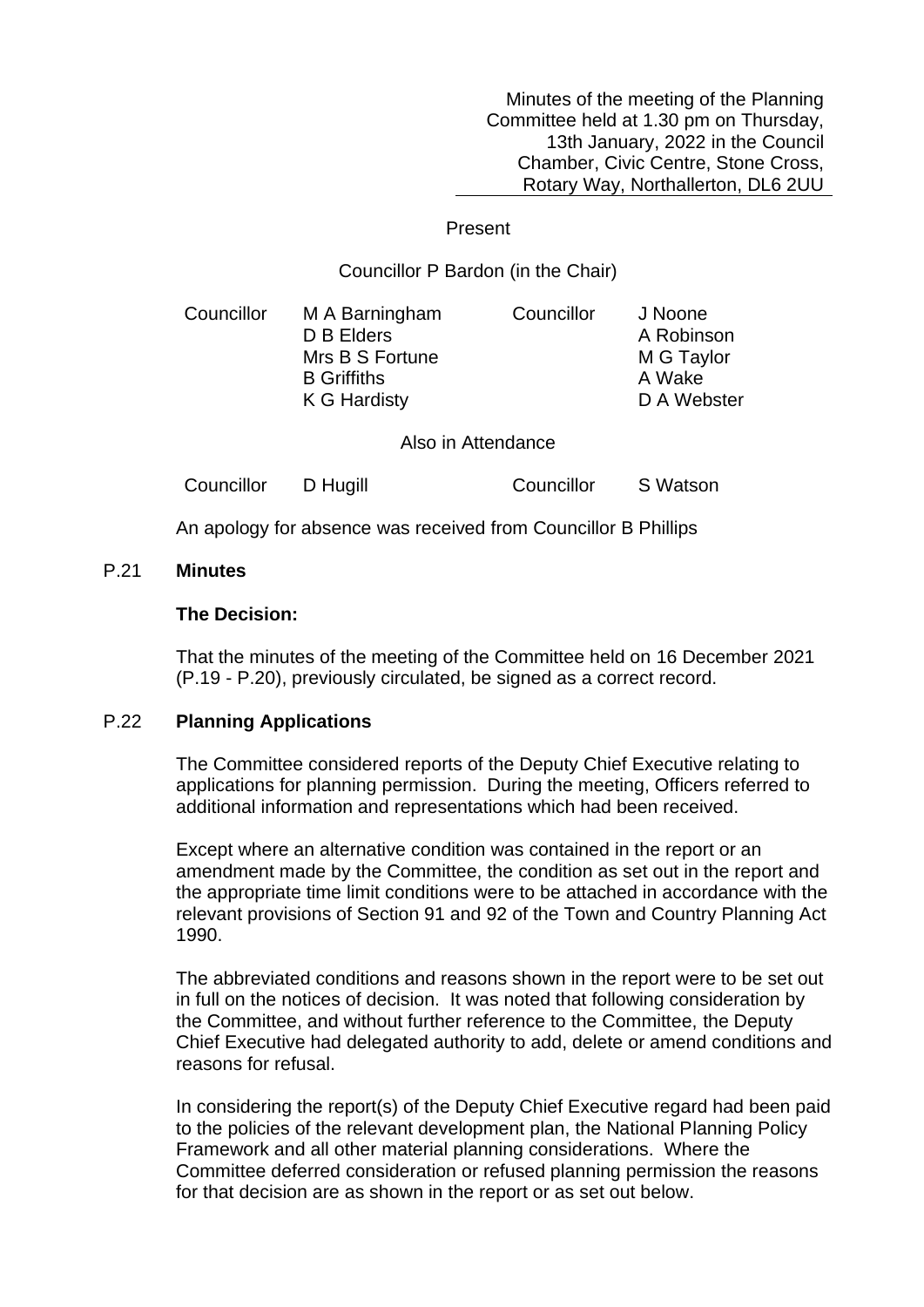Minutes of the meeting of the Planning Committee held at 1.30 pm on Thursday, 13th January, 2022 in the Council Chamber, Civic Centre, Stone Cross, Rotary Way, Northallerton, DL6 2UU

#### Present

## Councillor P Bardon (in the Chair)

| Councillor | M A Barningham     | Councillor | J Noone     |
|------------|--------------------|------------|-------------|
|            | D B Elders         |            | A Robinson  |
|            | Mrs B S Fortune    |            | M G Taylor  |
|            | <b>B</b> Griffiths |            | A Wake      |
|            | K G Hardisty       |            | D A Webster |
|            |                    |            |             |

Also in Attendance

| Councillor | D Hugill | Councillor | S Watson |
|------------|----------|------------|----------|
|------------|----------|------------|----------|

An apology for absence was received from Councillor B Phillips

# P.21 **Minutes**

### **The Decision:**

That the minutes of the meeting of the Committee held on 16 December 2021 (P.19 - P.20), previously circulated, be signed as a correct record.

## P.22 **Planning Applications**

The Committee considered reports of the Deputy Chief Executive relating to applications for planning permission. During the meeting, Officers referred to additional information and representations which had been received.

Except where an alternative condition was contained in the report or an amendment made by the Committee, the condition as set out in the report and the appropriate time limit conditions were to be attached in accordance with the relevant provisions of Section 91 and 92 of the Town and Country Planning Act 1990.

The abbreviated conditions and reasons shown in the report were to be set out in full on the notices of decision. It was noted that following consideration by the Committee, and without further reference to the Committee, the Deputy Chief Executive had delegated authority to add, delete or amend conditions and reasons for refusal.

In considering the report(s) of the Deputy Chief Executive regard had been paid to the policies of the relevant development plan, the National Planning Policy Framework and all other material planning considerations. Where the Committee deferred consideration or refused planning permission the reasons for that decision are as shown in the report or as set out below.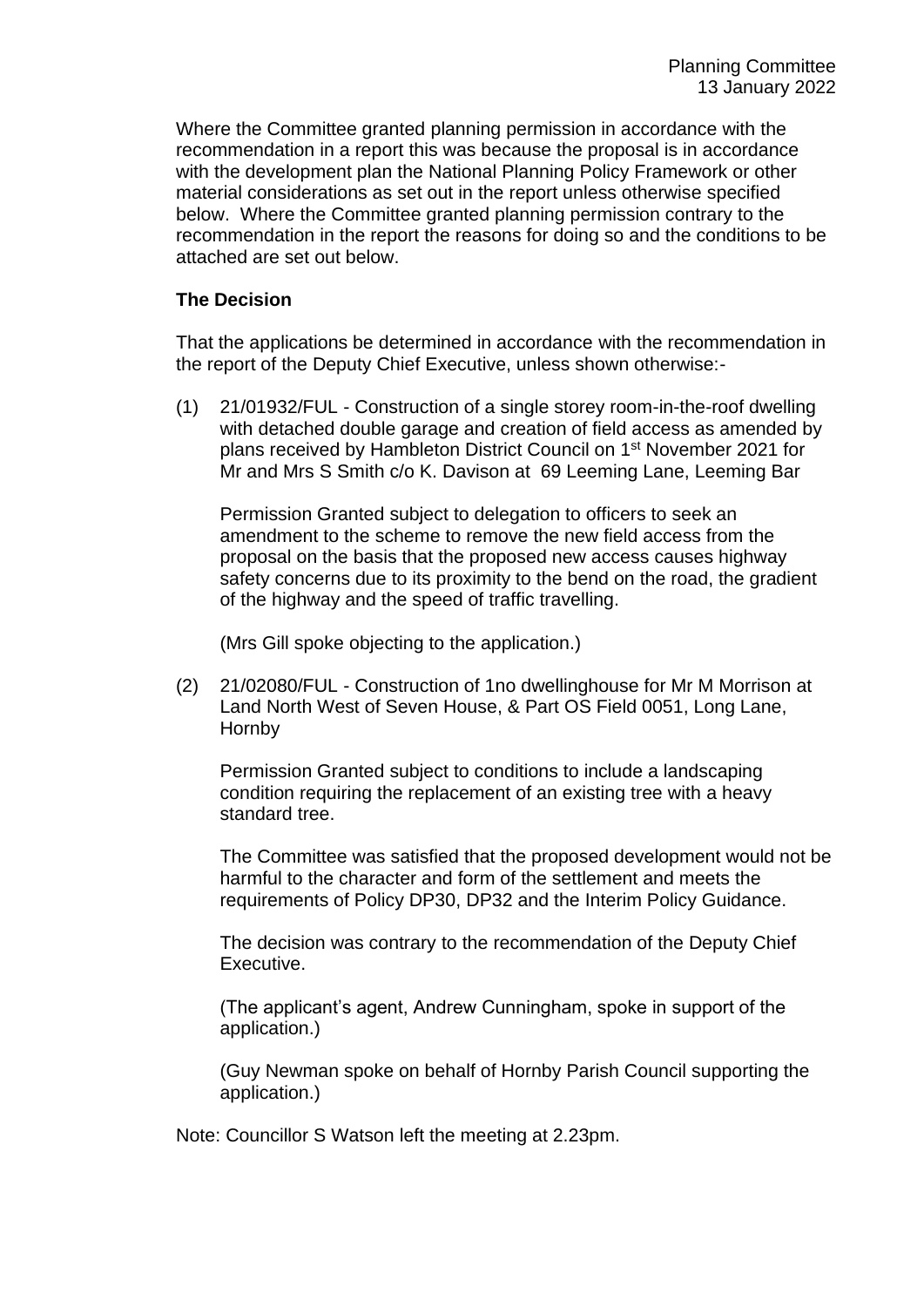Where the Committee granted planning permission in accordance with the recommendation in a report this was because the proposal is in accordance with the development plan the National Planning Policy Framework or other material considerations as set out in the report unless otherwise specified below. Where the Committee granted planning permission contrary to the recommendation in the report the reasons for doing so and the conditions to be attached are set out below.

## **The Decision**

That the applications be determined in accordance with the recommendation in the report of the Deputy Chief Executive, unless shown otherwise:-

(1) 21/01932/FUL - Construction of a single storey room-in-the-roof dwelling with detached double garage and creation of field access as amended by plans received by Hambleton District Council on 1st November 2021 for Mr and Mrs S Smith c/o K. Davison at 69 Leeming Lane, Leeming Bar

Permission Granted subject to delegation to officers to seek an amendment to the scheme to remove the new field access from the proposal on the basis that the proposed new access causes highway safety concerns due to its proximity to the bend on the road, the gradient of the highway and the speed of traffic travelling.

(Mrs Gill spoke objecting to the application.)

(2) 21/02080/FUL - Construction of 1no dwellinghouse for Mr M Morrison at Land North West of Seven House, & Part OS Field 0051, Long Lane, Hornby

Permission Granted subject to conditions to include a landscaping condition requiring the replacement of an existing tree with a heavy standard tree.

The Committee was satisfied that the proposed development would not be harmful to the character and form of the settlement and meets the requirements of Policy DP30, DP32 and the Interim Policy Guidance.

The decision was contrary to the recommendation of the Deputy Chief Executive.

(The applicant's agent, Andrew Cunningham, spoke in support of the application.)

(Guy Newman spoke on behalf of Hornby Parish Council supporting the application.)

Note: Councillor S Watson left the meeting at 2.23pm.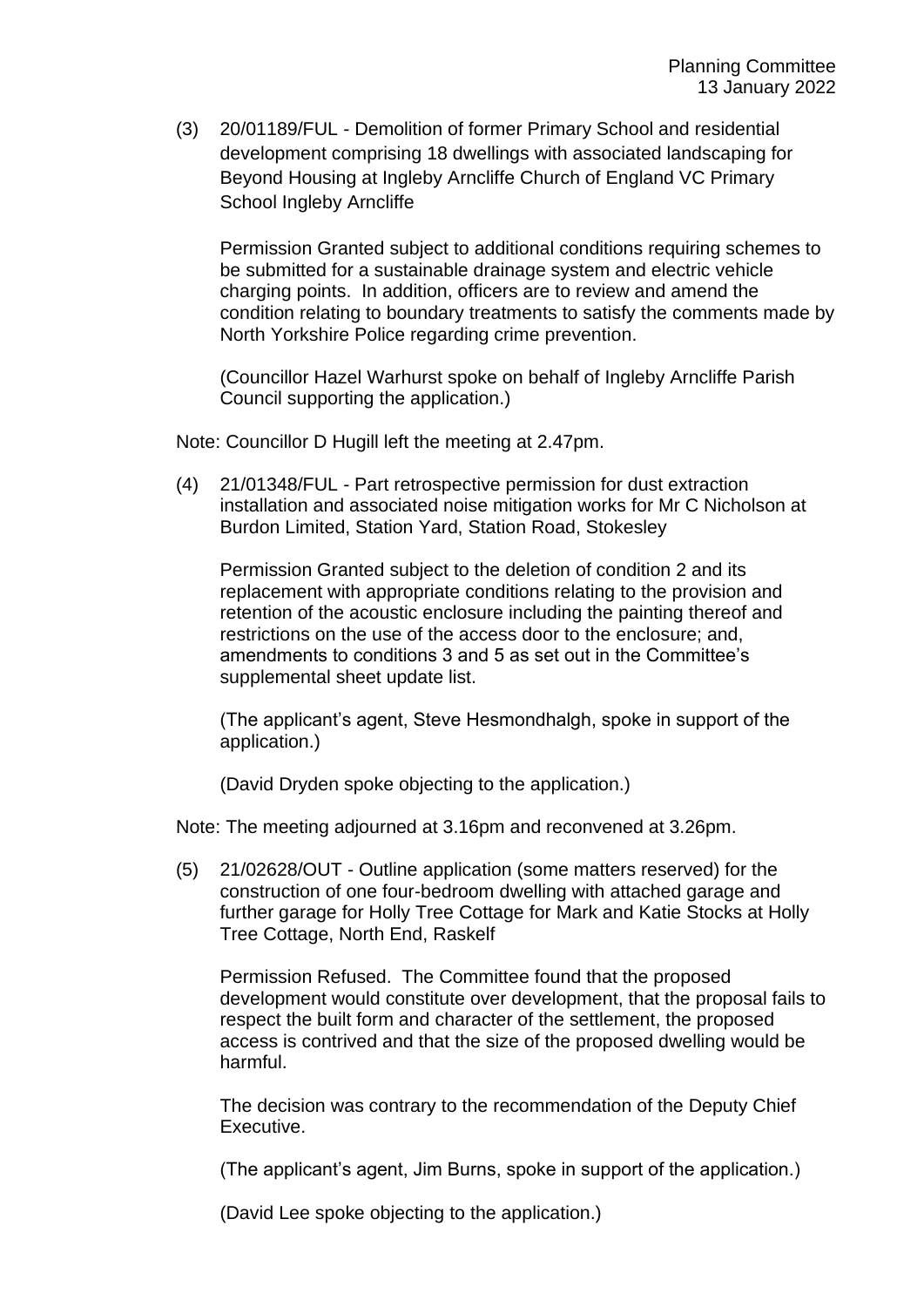(3) 20/01189/FUL - Demolition of former Primary School and residential development comprising 18 dwellings with associated landscaping for Beyond Housing at Ingleby Arncliffe Church of England VC Primary School Ingleby Arncliffe

Permission Granted subject to additional conditions requiring schemes to be submitted for a sustainable drainage system and electric vehicle charging points. In addition, officers are to review and amend the condition relating to boundary treatments to satisfy the comments made by North Yorkshire Police regarding crime prevention.

(Councillor Hazel Warhurst spoke on behalf of Ingleby Arncliffe Parish Council supporting the application.)

Note: Councillor D Hugill left the meeting at 2.47pm.

(4) 21/01348/FUL - Part retrospective permission for dust extraction installation and associated noise mitigation works for Mr C Nicholson at Burdon Limited, Station Yard, Station Road, Stokesley

Permission Granted subject to the deletion of condition 2 and its replacement with appropriate conditions relating to the provision and retention of the acoustic enclosure including the painting thereof and restrictions on the use of the access door to the enclosure; and, amendments to conditions 3 and 5 as set out in the Committee's supplemental sheet update list.

(The applicant's agent, Steve Hesmondhalgh, spoke in support of the application.)

(David Dryden spoke objecting to the application.)

Note: The meeting adjourned at 3.16pm and reconvened at 3.26pm.

(5) 21/02628/OUT - Outline application (some matters reserved) for the construction of one four-bedroom dwelling with attached garage and further garage for Holly Tree Cottage for Mark and Katie Stocks at Holly Tree Cottage, North End, Raskelf

Permission Refused. The Committee found that the proposed development would constitute over development, that the proposal fails to respect the built form and character of the settlement, the proposed access is contrived and that the size of the proposed dwelling would be harmful.

The decision was contrary to the recommendation of the Deputy Chief Executive.

(The applicant's agent, Jim Burns, spoke in support of the application.)

(David Lee spoke objecting to the application.)